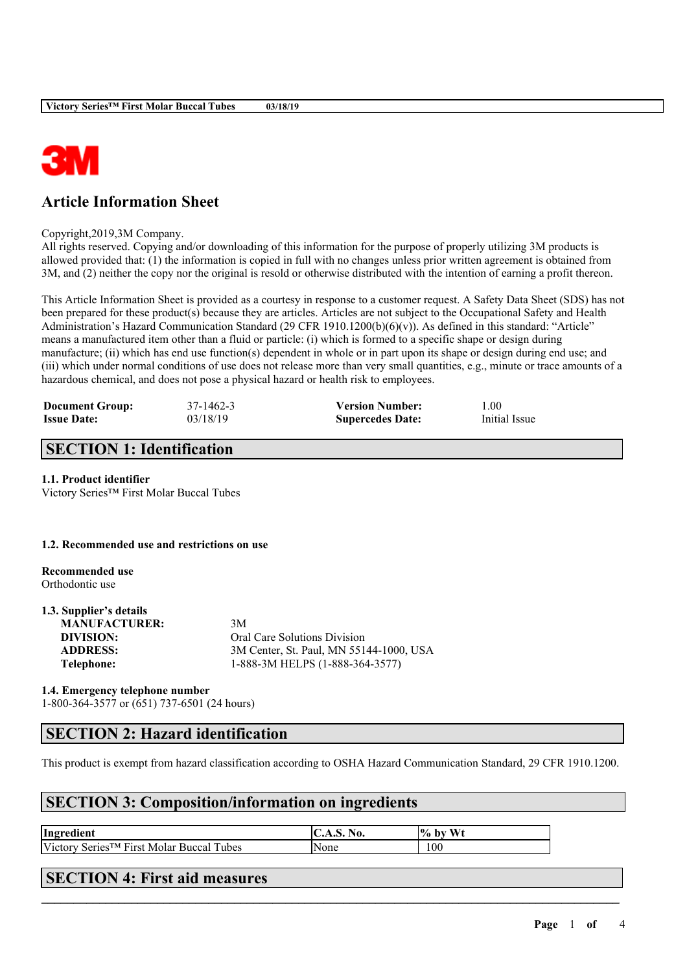

# **Article Information Sheet**

Copyright,2019,3M Company.

All rights reserved. Copying and/or downloading of this information for the purpose of properly utilizing 3M products is allowed provided that: (1) the information is copied in full with no changes unless prior written agreement is obtained from 3M, and (2) neither the copy nor the original is resold or otherwise distributed with the intention of earning a profit thereon.

This Article Information Sheet is provided as a courtesy in response to a customer request. A Safety Data Sheet (SDS) has not been prepared for these product(s) because they are articles. Articles are not subject to the Occupational Safety and Health Administration's Hazard Communication Standard (29 CFR 1910.1200(b)(6)(v)). As defined in this standard: "Article" means a manufactured item other than a fluid or particle: (i) which is formed to a specific shape or design during manufacture; (ii) which has end use function(s) dependent in whole or in part upon its shape or design during end use; and (iii) which under normal conditions of use does not release more than very small quantities, e.g., minute or trace amounts of a hazardous chemical, and does not pose a physical hazard or health risk to employees.

| <b>Document Group:</b> | 37-1462-3 | <b>Version Number:</b>  | 1.00          |
|------------------------|-----------|-------------------------|---------------|
| <b>Issue Date:</b>     | 03/18/19  | <b>Supercedes Date:</b> | Initial Issue |

# **SECTION 1: Identification**

### **1.1. Product identifier**

Victory Series™ First Molar Buccal Tubes

#### **1.2. Recommended use and restrictions on use**

**Recommended use** Orthodontic use

#### **1.3. Supplier's details MANUFACTURER:** 3M

**DIVISION:** Oral Care Solutions Division **ADDRESS:** 3M Center, St. Paul, MN 55144-1000, USA **Telephone:** 1-888-3M HELPS (1-888-364-3577)

### **1.4. Emergency telephone number** 1-800-364-3577 or (651) 737-6501 (24 hours)

# **SECTION 2: Hazard identification**

This product is exempt from hazard classification according to OSHA Hazard Communication Standard, 29 CFR 1910.1200.

 $\mathcal{L}_\mathcal{L} = \mathcal{L}_\mathcal{L} = \mathcal{L}_\mathcal{L} = \mathcal{L}_\mathcal{L} = \mathcal{L}_\mathcal{L} = \mathcal{L}_\mathcal{L} = \mathcal{L}_\mathcal{L} = \mathcal{L}_\mathcal{L} = \mathcal{L}_\mathcal{L} = \mathcal{L}_\mathcal{L} = \mathcal{L}_\mathcal{L} = \mathcal{L}_\mathcal{L} = \mathcal{L}_\mathcal{L} = \mathcal{L}_\mathcal{L} = \mathcal{L}_\mathcal{L} = \mathcal{L}_\mathcal{L} = \mathcal{L}_\mathcal{L}$ 

### **SECTION 3: Composition/information on ingredients**

| Ingredient                                              | $\mathsf{IC.A. S.}$<br>N0. | Wı<br>$\frac{10}{10}$<br>, by |
|---------------------------------------------------------|----------------------------|-------------------------------|
| Victory Series <sup>™</sup> First Molar Buccal<br>Tubes | <b>None</b>                | 100                           |

## **SECTION 4: First aid measures**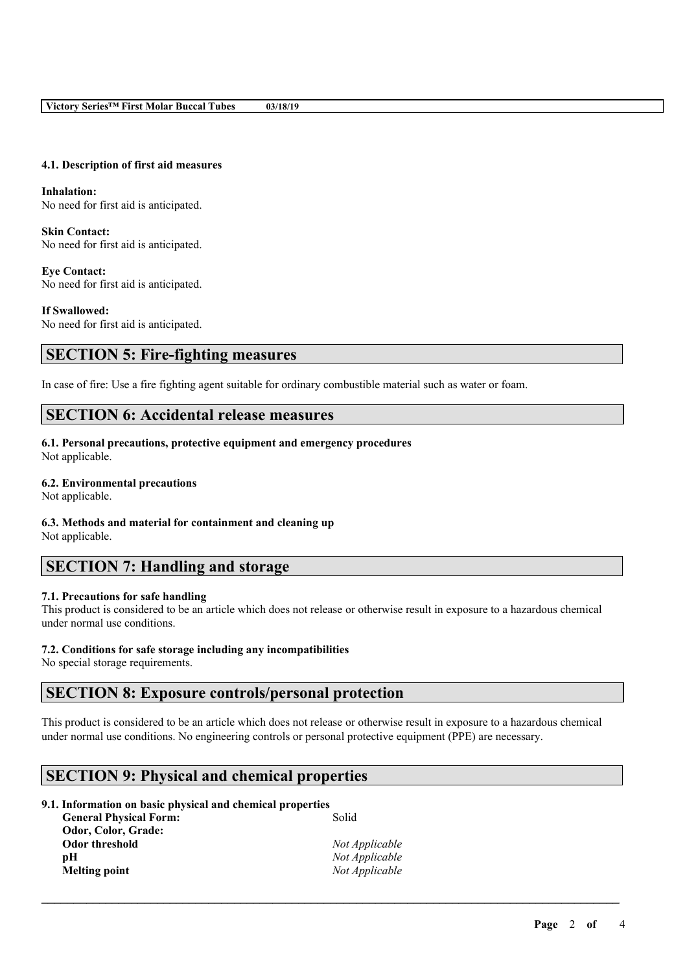#### **4.1. Description of first aid measures**

**Inhalation:** No need for first aid is anticipated.

**Skin Contact:** No need for first aid is anticipated.

**Eye Contact:** No need for first aid is anticipated.

**If Swallowed:** No need for first aid is anticipated.

### **SECTION 5: Fire-fighting measures**

In case of fire: Use a fire fighting agent suitable for ordinary combustible material such as water or foam.

## **SECTION 6: Accidental release measures**

**6.1. Personal precautions, protective equipment and emergency procedures** Not applicable.

#### **6.2. Environmental precautions**

Not applicable.

### **6.3. Methods and material for containment and cleaning up**

Not applicable.

## **SECTION 7: Handling and storage**

### **7.1. Precautions for safe handling**

This product is considered to be an article which does not release or otherwise result in exposure to a hazardous chemical under normal use conditions.

#### **7.2. Conditions for safe storage including any incompatibilities**

No special storage requirements.

### **SECTION 8: Exposure controls/personal protection**

This product is considered to be an article which does not release or otherwise result in exposure to a hazardous chemical under normal use conditions. No engineering controls or personal protective equipment (PPE) are necessary.

 $\mathcal{L}_\mathcal{L} = \mathcal{L}_\mathcal{L} = \mathcal{L}_\mathcal{L} = \mathcal{L}_\mathcal{L} = \mathcal{L}_\mathcal{L} = \mathcal{L}_\mathcal{L} = \mathcal{L}_\mathcal{L} = \mathcal{L}_\mathcal{L} = \mathcal{L}_\mathcal{L} = \mathcal{L}_\mathcal{L} = \mathcal{L}_\mathcal{L} = \mathcal{L}_\mathcal{L} = \mathcal{L}_\mathcal{L} = \mathcal{L}_\mathcal{L} = \mathcal{L}_\mathcal{L} = \mathcal{L}_\mathcal{L} = \mathcal{L}_\mathcal{L}$ 

### **SECTION 9: Physical and chemical properties**

### **9.1. Information on basic physical and chemical properties**

| Solid          |
|----------------|
|                |
| Not Applicable |
| Not Applicable |
| Not Applicable |
|                |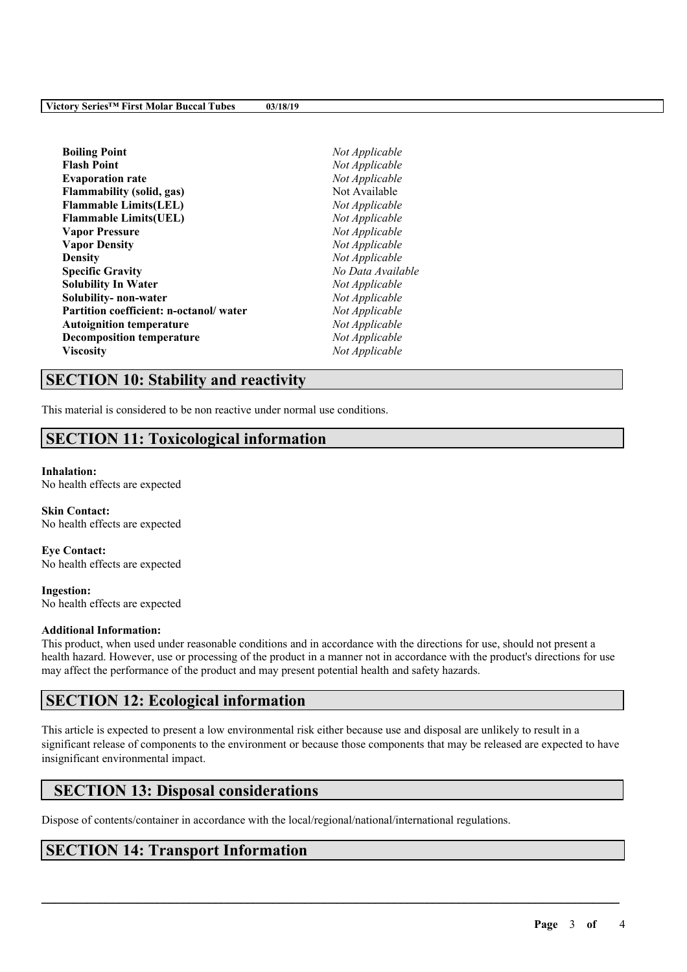| <b>Boiling Point</b>                   | Not Applicable    |
|----------------------------------------|-------------------|
| <b>Flash Point</b>                     | Not Applicable    |
| <b>Evaporation rate</b>                | Not Applicable    |
| <b>Flammability (solid, gas)</b>       | Not Available     |
| <b>Flammable Limits(LEL)</b>           | Not Applicable    |
| <b>Flammable Limits(UEL)</b>           | Not Applicable    |
| <b>Vapor Pressure</b>                  | Not Applicable    |
| <b>Vapor Density</b>                   | Not Applicable    |
| <b>Density</b>                         | Not Applicable    |
| <b>Specific Gravity</b>                | No Data Available |
| Solubility In Water                    | Not Applicable    |
| Solubility- non-water                  | Not Applicable    |
| Partition coefficient: n-octanol/water | Not Applicable    |
| <b>Autoignition temperature</b>        | Not Applicable    |
| <b>Decomposition temperature</b>       | Not Applicable    |
| Viscositv                              | Not Applicable    |
|                                        |                   |

# **SECTION 10: Stability and reactivity**

This material is considered to be non reactive under normal use conditions.

# **SECTION 11: Toxicological information**

#### **Inhalation:**

No health effects are expected

**Skin Contact:** No health effects are expected

**Eye Contact:** No health effects are expected

**Ingestion:** No health effects are expected

#### **Additional Information:**

This product, when used under reasonable conditions and in accordance with the directions for use, should not present a health hazard. However, use or processing of the product in a manner not in accordance with the product's directions for use may affect the performance of the product and may present potential health and safety hazards.

# **SECTION 12: Ecological information**

This article is expected to present a low environmental risk either because use and disposal are unlikely to result in a significant release of components to the environment or because those components that may be released are expected to have insignificant environmental impact.

 $\mathcal{L}_\mathcal{L} = \mathcal{L}_\mathcal{L} = \mathcal{L}_\mathcal{L} = \mathcal{L}_\mathcal{L} = \mathcal{L}_\mathcal{L} = \mathcal{L}_\mathcal{L} = \mathcal{L}_\mathcal{L} = \mathcal{L}_\mathcal{L} = \mathcal{L}_\mathcal{L} = \mathcal{L}_\mathcal{L} = \mathcal{L}_\mathcal{L} = \mathcal{L}_\mathcal{L} = \mathcal{L}_\mathcal{L} = \mathcal{L}_\mathcal{L} = \mathcal{L}_\mathcal{L} = \mathcal{L}_\mathcal{L} = \mathcal{L}_\mathcal{L}$ 

# **SECTION 13: Disposal considerations**

Dispose of contents/container in accordance with the local/regional/national/international regulations.

# **SECTION 14: Transport Information**